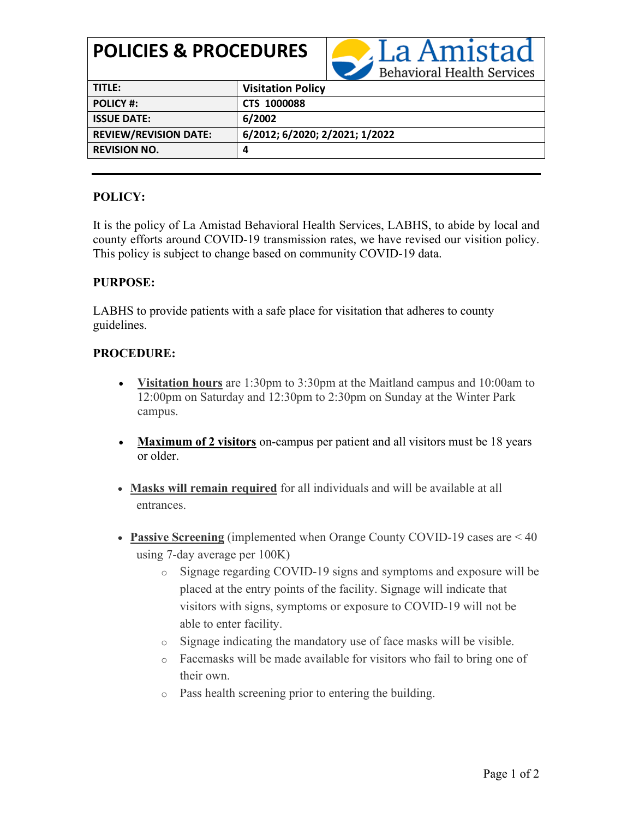# **POLICIES & PROCEDURES**



| TITLE:                       | <b>Visitation Policy</b>       |
|------------------------------|--------------------------------|
| <b>POLICY #:</b>             | <b>CTS 1000088</b>             |
| <b>ISSUE DATE:</b>           | 6/2002                         |
| <b>REVIEW/REVISION DATE:</b> | 6/2012; 6/2020; 2/2021; 1/2022 |
| <b>REVISION NO.</b>          | Д                              |

## **POLICY:**

It is the policy of La Amistad Behavioral Health Services, LABHS, to abide by local and county efforts around COVID-19 transmission rates, we have revised our visition policy. This policy is subject to change based on community COVID-19 data.

#### **PURPOSE:**

LABHS to provide patients with a safe place for visitation that adheres to county guidelines.

### **PROCEDURE:**

- **Visitation hours** are 1:30pm to 3:30pm at the Maitland campus and 10:00am to 12:00pm on Saturday and 12:30pm to 2:30pm on Sunday at the Winter Park campus.
- **Maximum of 2 visitors** on-campus per patient and all visitors must be 18 years or older.
- **Masks will remain required** for all individuals and will be available at all entrances.
- **Passive Screening** (implemented when Orange County COVID-19 cases are < 40 using 7-day average per 100K)
	- o Signage regarding COVID-19 signs and symptoms and exposure will be placed at the entry points of the facility. Signage will indicate that visitors with signs, symptoms or exposure to COVID-19 will not be able to enter facility.
	- o Signage indicating the mandatory use of face masks will be visible.
	- o Facemasks will be made available for visitors who fail to bring one of their own.
	- o Pass health screening prior to entering the building.